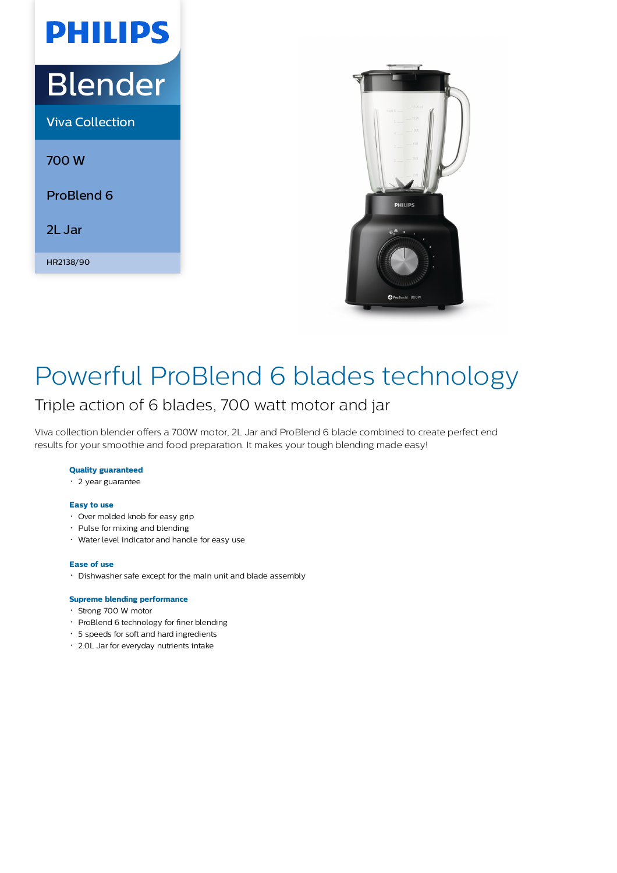# Blender

**PHILIPS** 

Viva Collection

700 W

ProBlend 6

2L Jar

HR2138/90



### Powerful ProBlend 6 blades technology

### Triple action of 6 blades, 700 watt motor and jar

Viva collection blender offers a 700W motor, 2L Jar and ProBlend 6 blade combined to create perfect end results for your smoothie and food preparation. It makes your tough blending made easy!

#### **Quality guaranteed**

2 year guarantee

#### **Easy to use**

- Over molded knob for easy grip
- Pulse for mixing and blending
- Water level indicator and handle for easy use

#### **Ease of use**

Dishwasher safe except for the main unit and blade assembly

#### **Supreme blending performance**

- Strong 700 W motor
- ProBlend 6 technology for finer blending
- 5 speeds for soft and hard ingredients
- 2.0L Jar for everyday nutrients intake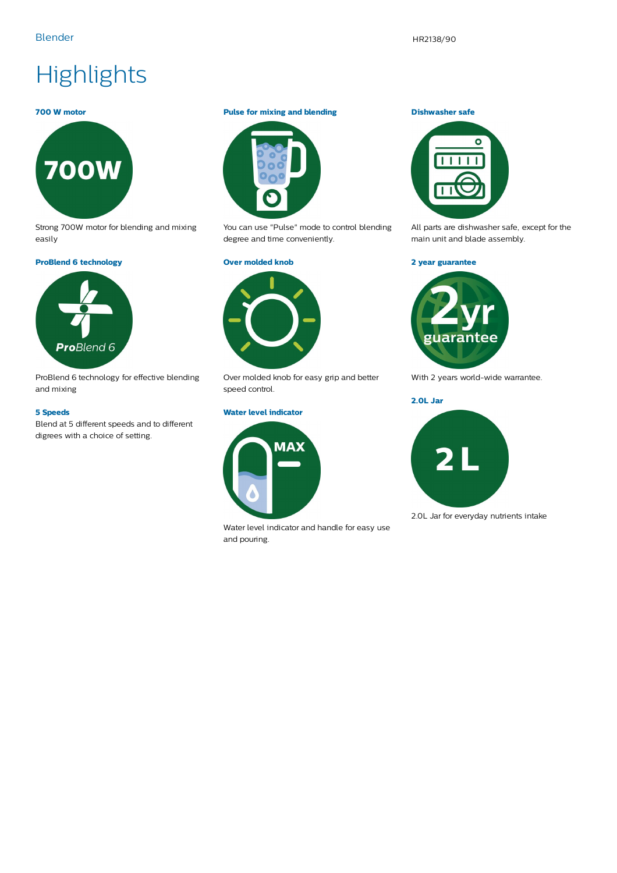## **Highlights**

#### **700 W motor**



Strong 700W motor for blending and mixing easily

#### **ProBlend 6 technology**



ProBlend 6 technology for effective blending and mixing

#### **5 Speeds**

Blend at 5 different speeds and to different digrees with a choice of setting.

#### **Pulse for mixing and blending**



You can use "Pulse" mode to control blending degree and time conveniently.

#### **Over molded knob**



Over molded knob for easy grip and better speed control.

#### **Water level indicator**



Water level indicator and handle for easy use and pouring.

#### **Dishwasher safe**



All parts are dishwasher safe, except for the main unit and blade assembly.

#### **2 year guarantee**



With 2 years world-wide warrantee.

**2.0L Jar**



2.0L Jar for everyday nutrients intake